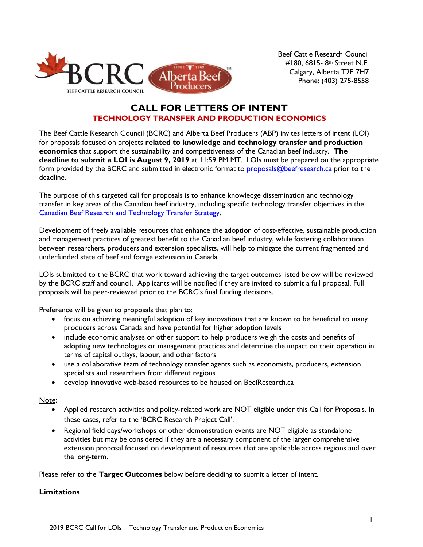

 Beef Cattle Research Council #180, 6815- 8th Street N.E. Calgary, Alberta T2E 7H7 Phone: (403) 275-8558

# **CALL FOR LETTERS OF INTENT TECHNOLOGY TRANSFER AND PRODUCTION ECONOMICS**

The Beef Cattle Research Council (BCRC) and Alberta Beef Producers (ABP) invites letters of intent (LOI) for proposals focused on projects **related to knowledge and technology transfer and production economics** that support the sustainability and competitiveness of the Canadian beef industry. **The deadline to submit a LOI is August 9, 2019** at 11:59 PM MT. LOIs must be prepared on the appropriate form provided by the BCRC and submitted in electronic format to [proposals@beefresearch.ca](mailto:proposals@beefresearch.ca) prior to the deadline.

The purpose of this targeted call for proposals is to enhance knowledge dissemination and technology transfer in key areas of the Canadian beef industry, including specific technology transfer objectives in the [Canadian Beef Research and Technology Transfer Strategy.](http://www.beefresearch.ca/files/pdf/Canadian_Beef_Research_and_Technology_Transfer_Strategy_2018-2023_Jan16-17.pdf)

Development of freely available resources that enhance the adoption of cost-effective, sustainable production and management practices of greatest benefit to the Canadian beef industry, while fostering collaboration between researchers, producers and extension specialists, will help to mitigate the current fragmented and underfunded state of beef and forage extension in Canada.

LOIs submitted to the BCRC that work toward achieving the target outcomes listed below will be reviewed by the BCRC staff and council. Applicants will be notified if they are invited to submit a full proposal. Full proposals will be peer-reviewed prior to the BCRC's final funding decisions.

Preference will be given to proposals that plan to:

- focus on achieving meaningful adoption of key innovations that are known to be beneficial to many producers across Canada and have potential for higher adoption levels
- include economic analyses or other support to help producers weigh the costs and benefits of adopting new technologies or management practices and determine the impact on their operation in terms of capital outlays, labour, and other factors
- use a collaborative team of technology transfer agents such as economists, producers, extension specialists and researchers from different regions
- develop innovative web-based resources to be housed on BeefResearch.ca

Note:

- Applied research activities and policy-related work are NOT eligible under this Call for Proposals. In these cases, refer to the 'BCRC Research Project Call'.
- Regional field days/workshops or other demonstration events are NOT eligible as standalone activities but may be considered if they are a necessary component of the larger comprehensive extension proposal focused on development of resources that are applicable across regions and over the long-term.

Please refer to the **Target Outcomes** below before deciding to submit a letter of intent.

# **Limitations**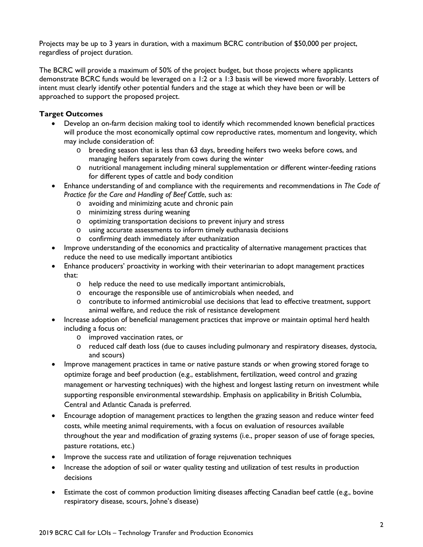Projects may be up to 3 years in duration, with a maximum BCRC contribution of \$50,000 per project, regardless of project duration.

The BCRC will provide a maximum of 50% of the project budget, but those projects where applicants demonstrate BCRC funds would be leveraged on a 1:2 or a 1:3 basis will be viewed more favorably. Letters of intent must clearly identify other potential funders and the stage at which they have been or will be approached to support the proposed project.

# **Target Outcomes**

- Develop an on-farm decision making tool to identify which recommended known beneficial practices will produce the most economically optimal cow reproductive rates, momentum and longevity, which may include consideration of:
	- o breeding season that is less than 63 days, breeding heifers two weeks before cows, and managing heifers separately from cows during the winter
	- o nutritional management including mineral supplementation or different winter-feeding rations for different types of cattle and body condition
- Enhance understanding of and compliance with the requirements and recommendations in *The Code of Practice for the Care and Handling of Beef Cattle*, such as:
	- o avoiding and minimizing acute and chronic pain
	- o minimizing stress during weaning
	- o optimizing transportation decisions to prevent injury and stress
	- o using accurate assessments to inform timely euthanasia decisions
	- o confirming death immediately after euthanization
- Improve understanding of the economics and practicality of alternative management practices that reduce the need to use medically important antibiotics
- Enhance producers' proactivity in working with their veterinarian to adopt management practices that:
	- o help reduce the need to use medically important antimicrobials,
	- o encourage the responsible use of antimicrobials when needed, and
	- o contribute to informed antimicrobial use decisions that lead to effective treatment, support animal welfare, and reduce the risk of resistance development
- Increase adoption of beneficial management practices that improve or maintain optimal herd health including a focus on:
	- o improved vaccination rates, or
	- o reduced calf death loss (due to causes including pulmonary and respiratory diseases, dystocia, and scours)
- Improve management practices in tame or native pasture stands or when growing stored forage to optimize forage and beef production (e.g., establishment, fertilization, weed control and grazing management or harvesting techniques) with the highest and longest lasting return on investment while supporting responsible environmental stewardship. Emphasis on applicability in British Columbia, Central and Atlantic Canada is preferred.
- Encourage adoption of management practices to lengthen the grazing season and reduce winter feed costs, while meeting animal requirements, with a focus on evaluation of resources available throughout the year and modification of grazing systems (i.e., proper season of use of forage species, pasture rotations, etc.)
- Improve the success rate and utilization of forage rejuvenation techniques
- Increase the adoption of soil or water quality testing and utilization of test results in production decisions
- Estimate the cost of common production limiting diseases affecting Canadian beef cattle (e.g., bovine respiratory disease, scours, Johne's disease)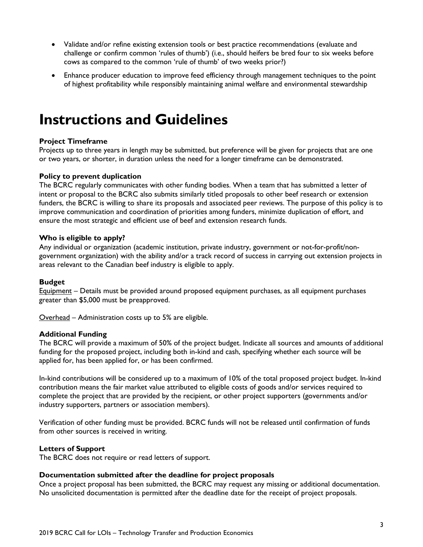- Validate and/or refine existing extension tools or best practice recommendations (evaluate and challenge or confirm common 'rules of thumb') (i.e., should heifers be bred four to six weeks before cows as compared to the common 'rule of thumb' of two weeks prior?)
- Enhance producer education to improve feed efficiency through management techniques to the point of highest profitability while responsibly maintaining animal welfare and environmental stewardship

# **Instructions and Guidelines**

### **Project Timeframe**

Projects up to three years in length may be submitted, but preference will be given for projects that are one or two years, or shorter, in duration unless the need for a longer timeframe can be demonstrated.

#### **Policy to prevent duplication**

The BCRC regularly communicates with other funding bodies. When a team that has submitted a letter of intent or proposal to the BCRC also submits similarly titled proposals to other beef research or extension funders, the BCRC is willing to share its proposals and associated peer reviews. The purpose of this policy is to improve communication and coordination of priorities among funders, minimize duplication of effort, and ensure the most strategic and efficient use of beef and extension research funds.

#### **Who is eligible to apply?**

Any individual or organization (academic institution, private industry, government or not-for-profit/nongovernment organization) with the ability and/or a track record of success in carrying out extension projects in areas relevant to the Canadian beef industry is eligible to apply.

#### **Budget**

Equipment – Details must be provided around proposed equipment purchases, as all equipment purchases greater than \$5,000 must be preapproved.

Overhead – Administration costs up to 5% are eligible.

#### **Additional Funding**

The BCRC will provide a maximum of 50% of the project budget. Indicate all sources and amounts of additional funding for the proposed project, including both in-kind and cash, specifying whether each source will be applied for, has been applied for, or has been confirmed.

In-kind contributions will be considered up to a maximum of 10% of the total proposed project budget. In-kind contribution means the fair market value attributed to eligible costs of goods and/or services required to complete the project that are provided by the recipient, or other project supporters (governments and/or industry supporters, partners or association members).

Verification of other funding must be provided. BCRC funds will not be released until confirmation of funds from other sources is received in writing.

#### **Letters of Support**

The BCRC does not require or read letters of support.

#### **Documentation submitted after the deadline for project proposals**

Once a project proposal has been submitted, the BCRC may request any missing or additional documentation. No unsolicited documentation is permitted after the deadline date for the receipt of project proposals.